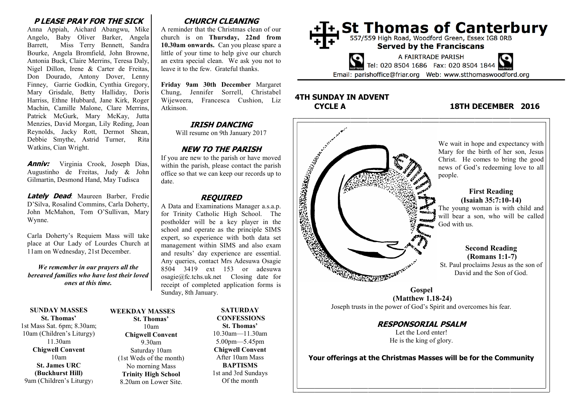## **P LEASE PRAY FOR THE SICK**

Anna Appiah, Aichard Abangwu, Mike Angelo, Baby Oliver Barker, Angela Barrett, Miss Terry Bennett, Sandra Bourke, Angela Bromfield, John Browne, Antonia Buck, Claire Merrins, Teresa Daly, Nigel Dillon, Irene & Carter de Freitas, Don Dourado, Antony Dover, Lenny Finney, Garrie Godkin, Cynthia Gregory, Mary Grisdale, Betty Halliday, Doris Harriss, Ethne Hubbard, Jane Kirk, Roger Machin, Camille Malone, Clare Merrins, Patrick McGurk, Mary McKay, Jutta Menzies, David Morgan, Lily Reding, Joan Reynolds, Jacky Rott, Dermot Shean, Debbie Smythe, Astrid Turner, Rita Watkins, Cian Wright.

**Anniv:** Virginia Crook, Joseph Dias, Augustinho de Freitas, Judy & John Gilmartin, Desmond Hand, May Tudisca

**Lately Dead**: Maureen Barber, Fredie D'Silva, Rosalind Commins, Carla Doherty, John McMahon, Tom O'Sullivan, Mary Wynne.

Carla Doherty's Requiem Mass will take place at Our Lady of Lourdes Church at 11am on Wednesday, 21st December.

*We remember in our prayers all the bereaved families who have lost their loved ones at this time.*

**SUNDAY MASSES St. Thomas'** 1st Mass Sat. 6pm; 8.30am; 10am (Children's Liturgy) 11.30am **Chigwell Convent** 10am **St. James URC (Buckhurst Hill)** 9am (Children's Liturgy)

#### **WEEKDAY MASSES St. Thomas'** 10am **Chigwell Convent** 9.30am Saturday 10am (1st Weds of the month) No morning Mass **Trinity High School** 8.20am on Lower Site.

# **CHURCH CLEANING**

A reminder that the Christmas clean of our church is on **Thursday, 22nd from 10.30am onwards.** Can you please spare a little of your time to help give our church an extra special clean. We ask you not to leave it to the few. Grateful thanks.

**Friday 9am 30th December** Margaret Chung, Jennifer Sorrell, Christabel Wijeweera, Francesca Cushion, Liz Atkinson.

## **IRISH DANCING**

Will resume on 9th January 2017

# **NEW TO THE PARISH**

If you are new to the parish or have moved within the parish, please contact the parish office so that we can keep our records up to date.

## **REQUIRED**

A Data and Examinations Manager a.s.a.p. for Trinity Catholic High School. The postholder will be a key player in the school and operate as the principle SIMS expert, so experience with both data set management within SIMS and also exam and results' day experience are essential. Any queries, contact Mrs Adesuwa Osagie 8504 3419 ext 153 or adesuwa osagie@fc.tchs.uk.net Closing date for receipt of completed application forms is Sunday, 8th January.

> **SATURDAY CONFESSIONS St. Thomas'** 10.30am—11.30am 5.00pm—5.45pm **Chigwell Convent** After 10am Mass **BAPTISMS** 1st and 3rd Sundays Of the month



# **4TH SUNDAY IN ADVENT**

# **CYCLE A 18TH DECEMBER 2016**



**RESPONSORIAL PSALM** Let the Lord enter! He is the king of glory.

**Your offerings at the Christmas Masses will be for the Community**